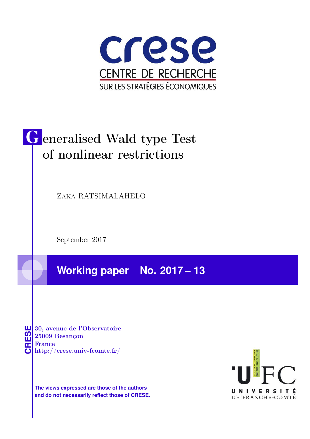

# Generalised Wald type Test of nonlinear restrictions

Zaka RATSIMALAHELO

September 2017

**Working paper No. 2017 – 13**

**CRESE 30, avenue de l'Observatoire<br>
25009 Besançon<br>
France<br>
<b>CRESE de l'Observatoire**<br>
Http://crese.univ-fcomte.fr/ 25009 Besançon France

**The views expressed are those of the authors and do not necessarily reflect those of CRESE.**

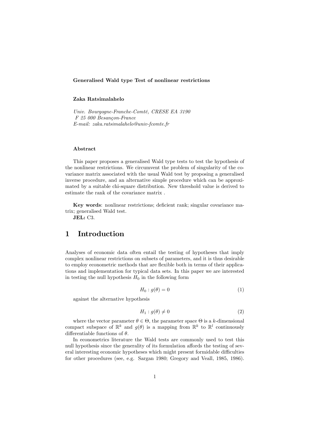### Generalised Wald type Test of nonlinear restrictions

## Zaka Ratsimalahelo

Univ. Bourgogne-Franche-Comté, CRESE EA 3190 F 25 000 Besançon-France E-mail: zaka.ratsimalahelo@univ-fcomte.fr

#### Abstract

This paper proposes a generalised Wald type tests to test the hypothesis of the nonlinear restrictions. We circumvent the problem of singularity of the covariance matrix associated with the usual Wald test by proposing a generalised inverse procedure, and an alternative simple procedure which can be approximated by a suitable chi-square distribution. New threshold value is derived to estimate the rank of the covariance matrix .

Key words: nonlinear restrictions; deficient rank; singular covariance matrix; generalised Wald test.

JEL: C3.

# 1 Introduction

Analyses of economic data often entail the testing of hypotheses that imply complex nonlinear restrictions on subsets of parameters, and it is thus desirable to employ econometric methods that are flexible both in terms of their applications and implementation for typical data sets. In this paper we are interested in testing the null hypothesis  $H_0$  in the following form

$$
H_0: g(\theta) = 0 \tag{1}
$$

against the alternative hypothesis

$$
H_1: g(\theta) \neq 0 \tag{2}
$$

where the vector parameter  $\theta \in \Theta$ , the parameter space  $\Theta$  is a k-dimensional compact subspace of  $\mathbb{R}^k$  and  $g(\theta)$  is a mapping from  $\mathbb{R}^k$  to  $\mathbb{R}^l$  continuously differentiable functions of  $\theta$ .

In econometrics literature the Wald tests are commonly used to test this null hypothesis since the generality of its formulation affords the testing of several interesting economic hypotheses which might present formidable difficulties for other procedures (see, e.g. Sargan 1980; Gregory and Veall, 1985, 1986).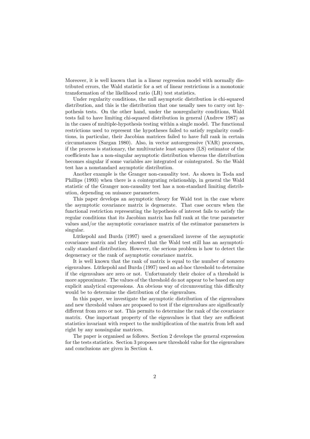Moreover, it is well known that in a linear regression model with normally distributed errors, the Wald statistic for a set of linear restrictions is a monotonic transformation of the likelihood ratio (LR) test statistics.

Under regularity conditions, the null asymptotic distribution is chi-squared distribution, and this is the distribution that one usually uses to carry out hypothesis tests. On the other hand, under the nonregularity conditions, Wald tests fail to have limiting chi-squared distribution in general (Andrew 1987) as in the cases of multiple-hypothesis testing within a single model. The functional restrictions used to represent the hypotheses failed to satisfy regularity conditions, in particular, their Jacobian matrices failed to have full rank in certain circumstances (Sargan 1980). Also, in vector autoregressive (VAR) processes, if the process is stationary, the multivariate least squares (LS) estimator of the coefficients has a non-singular asymptotic distribution whereas the distribution becomes singular if some variables are integrated or cointegrated. So the Wald test has a nonstandard asymptotic distribution.

Another example is the Granger non-causality test. As shown in Toda and Phillips (1993) when there is a cointegrating relationship, in general the Wald statistic of the Granger non-causality test has a non-standard limiting distribution, depending on nuisance parameters.

This paper develops an asymptotic theory for Wald test in the case where the asymptotic covariance matrix is degenerate. That case occurs when the functional restriction representing the hypothesis of interest fails to satisfy the regular conditions that its Jacobian matrix has full rank at the true parameter values and/or the asymptotic covariance matrix of the estimator parameters is singular.

Lütkepohl and Burda (1997) used a generalized inverse of the asymptotic covariance matrix and they showed that the Wald test still has an asymptotically standard distribution. However, the serious problem is how to detect the degeneracy or the rank of asymptotic covariance matrix.

It is well known that the rank of matrix is equal to the number of nonzero eigenvalues. Lütkepohl and Burda (1997) used an ad-hoc threshold to determine if the eigenvalues are zero or not. Unfortunately their choice of a threshold is more approximate. The values of the threshold do not appear to be based on any explicit analytical expressions. An obvious way of circumventing this difficulty would be to determine the distribution of the eigenvalues.

In this paper, we investigate the asymptotic distribution of the eigenvalues and new threshold values are proposed to test if the eigenvalues are significantly different from zero or not. This permits to determine the rank of the covariance matrix. One important property of the eigenvalues is that they are sufficient statistics invariant with respect to the multiplication of the matrix from left and right by any nonsingular matrices.

The paper is organised as follows. Section 2 develops the general expression for the tests statistics. Section 3 proposes new threshold value for the eigenvalues and conclusions are given in Section 4.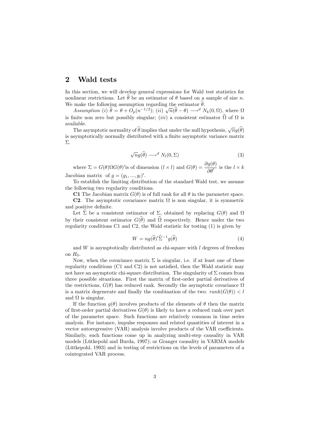## 2 Wald tests

In this section, we will develop general expressions for Wald test statistics for nonlinear restrictions. Let  $\hat{\theta}$  be an estimator of  $\theta$  based on a sample of size n. We make the following assumption regarding the estimator  $\hat{\theta}$ .

Assumption (i)  $\hat{\theta} = \theta + O_p(n^{-1/2})$ ; (ii)  $\sqrt{n}(\hat{\theta} - \theta) \longrightarrow^d N_k(0, \Omega)$ , where  $\Omega$ is finite non zero but possibly singular;  $(iii)$  a consistent estimator  $\Omega$  of  $\Omega$  is available.

The asymptotic normality of  $\widehat{\theta}$  implies that under the null hypothesis,  $\sqrt{n}g(\widehat{\theta})$ is asymptotically normally distributed with a finite asymptotic variance matrix  $\Sigma$ .

$$
\sqrt{n}g(\widehat{\theta}) \longrightarrow^{d} N_l(0,\Sigma) \tag{3}
$$

where  $\Sigma = G(\theta) \Omega G(\theta)'$  is of dimension  $(l \times l)$  and  $G(\theta) = \frac{\partial g(\theta)}{\partial \theta'}$  is the  $l \times k$ Jacobian matrix of  $g = (g_1, ..., g_l)'$ .

To establish the limiting distribution of the standard Wald test, we assume the following two regularity conditions.

C1 The Jacobian matrix  $G(\theta)$  is of full rank for all  $\theta$  in the parameter space.

**C2**. The asymptotic covariance matrix  $\Omega$  is non singular, it is symmetric and positive definite.

Let  $\hat{\Sigma}$  be a consistent estimator of  $\Sigma$ , obtained by replacing  $G(\theta)$  and  $\Omega$ by their consistent estimator  $G(\theta)$  and  $\Omega$  respectively. Hence under the two regularity conditions C1 and C2, the Wald statistic for testing (1) is given by

$$
W = ng(\widehat{\theta})' \widehat{\Sigma}^{-1} g(\widehat{\theta})
$$
\n(4)

and  $W$  is asymptotically distributed as chi-square with  $l$  degrees of freedom on  $H_0$ .

Now, when the covariance matrix  $\Sigma$  is singular, i.e. if at least one of these regularity conditions  $(C1 \text{ and } C2)$  is not satisfied, then the Wald statistic may not have an asymptotic chi-square distribution. The singularity of  $\Sigma$  comes from three possible situations. First the matrix of first-order partial derivatives of the restrictions,  $G(\theta)$  has reduced rank. Secondly the asymptotic covariance  $\Omega$ is a matrix degenerate and finally the combination of the two:  $rank(G(\theta)) < l$ and  $\Omega$  is singular.

If the function  $g(\theta)$  involves products of the elements of  $\theta$  then the matrix of first-order partial derivatives  $G(\theta)$  is likely to have a reduced rank over part of the parameter space. Such functions are relatively common in time series analysis. For instance, impulse responses and related quantities of interest in a vector autoregressive  $(VAR)$  analysis involve products of the VAR coefficients. Similarly, such functions come up in analyzing multi-step causality in VAR models (Lütkepohl and Burda, 1997); or Granger causality in VARMA models (Lütkepohl, 1993) and in testing of restrictions on the levels of parameters of a cointegrated VAR process.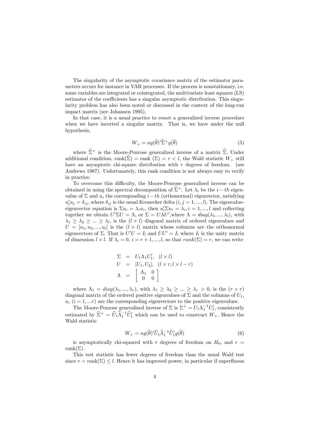The singularity of the asymptotic covariance matrix of the estimator parameters occurs for instance in VAR processes. If the process is nonstationary, i.e. some variables are integrated or cointegrated, the multivariate least squares (LS) estimator of the coefficients has a singular asymptotic distribution. This singularity problem has also been noted or discussed in the context of the long-run impact matrix (see Johansen 1995).

In that case, it is a usual practice to resort a generalized inverse procedure when we have inverted a singular matrix. That is, we have under the null hypothesis,

$$
W_{+} = n g(\widehat{\theta})' \widehat{\Sigma}^{+} g(\widehat{\theta}) \tag{5}
$$

where  $\hat{\Sigma}^+$  is the Moore-Penrose generalized inverse of a matrix  $\hat{\Sigma}$ . Under additional condition, rank $(\widehat{\Sigma})$  = rank  $(\Sigma) = r < l$ , the Wald statistic  $W_+$  still have an asymptotic chi-square distribution with  $r$  degrees of freedom. (see Andrews 1987). Unfortunately, this rank condition is not always easy to verify in practice.

To overcome this difficulty, the Moore-Penrose generalized inverse can be obtained in using the spectral decomposition of  $\hat{\Sigma}^+$ . Let  $\lambda_i$  be the  $i - th$  eigenvalue of  $\Sigma$  and  $u_i$  the corresponding  $i-th$  (orthonormal) eigenvector, satisfying  $u'_i u_j = \delta_{ij}$ , where  $\delta_{ij}$  is the usual Kronecker delta  $(i, j = 1, ..., l)$ . The eigenvalueeigenvector equation is  $\Sigma u_i = \lambda_i u_i$ , then  $u'_i \Sigma u_i = \lambda_i$ ,  $i = 1, ..., l$  and collecting together we obtain  $U'\Sigma U = \Lambda$ , or  $\Sigma = U\Lambda U'$ , where  $\Lambda = diag(\lambda_1, ..., \lambda_l)$ , with  $\lambda_1 \geq \lambda_2 \geq \ldots \geq \lambda_l$ , is the  $(l \times l)$  diagonal matrix of ordered eigenvalues and  $U = [u_1, u_2, ..., u_l]$  is the  $(l \times l)$  matrix whose columns are the orthonormal eigenvectors of  $\Sigma$ . That is  $U'U = I_l$  and  $UU' = I_l$  where  $I_l$  is the unity matrix of dimension  $l \times l$ . If  $\lambda_i = 0, i = r + 1, ..., l$ , so that  $rank(\Sigma) = r$ , we can write

$$
\Sigma = U_1 \Lambda_1 U'_1, \quad (l \times l)
$$
  
\n
$$
U = [U_1, U_2], \quad (l \times r, l \times l - r)
$$
  
\n
$$
\Lambda = \begin{bmatrix} \Lambda_1 & 0 \\ 0 & 0 \end{bmatrix}
$$

where  $\Lambda_1 = diag(\lambda_1, ..., \lambda_r)$ , with  $\lambda_1 \geq \lambda_2 \geq ... \geq \lambda_r > 0$ , is the  $(r \times r)$ diagonal matrix of the ordered positive eigenvalues of  $\Sigma$  and the columns of  $U_1$ ,  $u_i$  ( $i = 1, ...r$ ) are the corresponding eigenvectors to the positive eigenvalues.

The Moore-Penrose generalized inverse of  $\Sigma$  is  $\Sigma^+ = U_1 \Lambda_1^{-1} U_1'$ , consistently estimated by  $\hat{\Sigma}^+ = \hat{U}_1 \hat{\Lambda}_1^{-1} \hat{U}_1'$  which can be used to construct  $W_+$ . Hence the Wald statistic

$$
W_{+} = n g(\widehat{\theta})' \widehat{U}_{1} \widehat{\Lambda}_{1}^{-1} \widehat{U}_{1}' g(\widehat{\theta})
$$
\n<sup>(6)</sup>

is asymptotically chi-squared with r degrees of freedom on  $H_0$ , and  $r =$ rank $(\Sigma)$ .

This test statistic has fewer degrees of freedom than the usual Wald test since  $r = \text{rank}(\Sigma) \leq l$ . Hence it has improved power, in particular if superfluous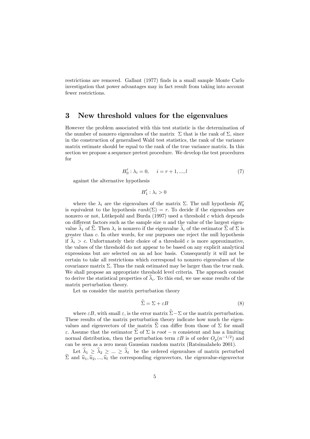restrictions are removed. Gallant (1977) Önds in a small sample Monte Carlo investigation that power advantages may in fact result from taking into account fewer restrictions.

## 3 New threshold values for the eigenvalues

However the problem associated with this test statistic is the determination of the number of nonzero eigenvalues of the matrix  $\Sigma$  that is the rank of  $\Sigma$ , since in the construction of generalised Wald test statistics, the rank of the variance matrix estimate should be equal to the rank of the true variance matrix. In this section we propose a sequence pretest procedure. We develop the test procedures for

$$
H'_0: \lambda_i = 0, \quad i = r+1, ..., l \tag{7}
$$

against the alternative hypothesis

 $H'_1$ :  $\lambda_i > 0$ 

where the  $\lambda_i$  are the eigenvalues of the matrix  $\Sigma$ . The null hypothesis  $H'_0$ is equivalent to the hypothesis  $rank(\Sigma) = r$ . To decide if the eigenvalues are nonzero or not, Lütkepohl and Burda (1997) used a threshold  $c$  which depends on different factors such as the sample size  $n$  and the value of the largest eigenvalue  $\lambda_1$  of  $\Sigma$ . Then  $\lambda_i$  is nonzero if the eigenvalue  $\lambda_i$  of the estimator  $\Sigma$  of  $\Sigma$  is greater than  $c$ . In other words, for our purposes one reject the null hypothesis if  $\lambda_i > c$ . Unfortunately their choice of a threshold c is more approximative, the values of the threshold do not appear to be based on any explicit analytical expressions but are selected on an ad hoc basis. Consequently it will not be certain to take all restrictions which correspond to nonzero eigenvalues of the covariance matrix  $\Sigma$ . Thus the rank estimated may be larger than the true rank. We shall propose an appropriate threshold level criteria. The approach consist to derive the statistical properties of  $\lambda_i$ . To this end, we use some results of the matrix perturbation theory.

Let us consider the matrix perturbation theory

$$
\widehat{\Sigma} = \Sigma + \varepsilon B \tag{8}
$$

where  $\varepsilon B$ , with small  $\varepsilon$ , is the error matrix  $\widehat{\Sigma} - \Sigma$  or the matrix perturbation. These results of the matrix perturbation theory indicate how much the eigenvalues and eigenvectors of the matrix  $\hat{\Sigma}$  can differ from those of  $\Sigma$  for small  $\varepsilon$ . Assume that the estimator  $\hat{\Sigma}$  of  $\Sigma$  is root  $-n$  consistent and has a limiting normal distribution, then the perturbation term  $\varepsilon B$  is of order  $O_p(n^{-1/2})$  and can be seen as a zero mean Gaussian random matrix (Ratsimalahelo 2001).

Let  $\hat{\lambda}_1 \geq \hat{\lambda}_2 \geq ... \geq \hat{\lambda}_l$  be the ordered eigenvalues of matrix perturbed  $\hat{\Sigma}$  and  $\hat{u}_1, \hat{u}_2, ..., \hat{u}_l$  the corresponding eigenvectors, the eigenvalue-eigenvector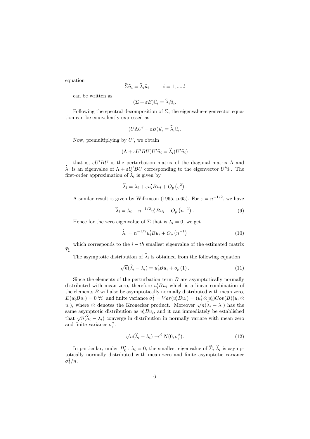equation

$$
\widehat{\Sigma}\widehat{u}_i = \widehat{\lambda}_i \widehat{u}_i \qquad i = 1, ..., l
$$

can be written as

$$
(\Sigma + \varepsilon B)\widehat{u}_i = \lambda_i \widehat{u}_i.
$$

Following the spectral decomposition of  $\Sigma$ , the eigenvalue-eigenvector equation can be equivalently expressed as

$$
(U\Lambda U' + \varepsilon B)\widehat{u}_i = \widehat{\lambda}_i \widehat{u}_i.
$$

Now, premultiplying by  $U'$ , we obtain

$$
(\Lambda + \varepsilon U'BU)U'\hat{u}_i = \hat{\lambda}_i(U'\hat{u}_i)
$$

that is,  $\varepsilon U'BU$  is the perturbation matrix of the diagonal matrix  $\Lambda$  and  $\lambda_i$  is an eigenvalue of  $\Lambda + \varepsilon U'BU$  corresponding to the eigenvector  $U' \hat{u}_i$ . The first-order approximation of  $\lambda_i$  is given by

$$
\widehat{\lambda}_i = \lambda_i + \varepsilon u_i' B u_i + O_p\left(\varepsilon^2\right).
$$

A similar result is given by Wilkinson (1965, p.65). For  $\varepsilon = n^{-1/2}$ , we have

$$
\widehat{\lambda}_i = \lambda_i + n^{-1/2} u_i' B u_i + O_p \left( n^{-1} \right). \tag{9}
$$

Hence for the zero eigenvalue of  $\Sigma$  that is  $\lambda_i = 0$ , we get

$$
\widehat{\lambda}_{i} = n^{-1/2} u'_{i} B u_{i} + O_{p} \left( n^{-1} \right) \tag{10}
$$

which corresponds to the  $i - th$  smallest eigenvalue of the estimated matrix  $\widehat{\Sigma}$ .

The asymptotic distribution of  $\lambda_i$  is obtained from the following equation

$$
\sqrt{n}(\widehat{\lambda}_i - \lambda_i) = u'_i B u_i + o_p(1).
$$
 (11)

Since the elements of the perturbation term  $B$  are asymptotically normally distributed with mean zero, therefore  $u_i'Bu_i$  which is a linear combination of the elements  $B$  will also be asymptotically normally distributed with mean zero,  $E(u_i'Bu_i) = 0 \,\forall i$  and finite variance  $\sigma_i^2 = Var(u_i'Bu_i) = (u_i' \otimes u_i')Cov(B)(u_i \otimes u_i')$  $u_i$ ), where  $\otimes$  denotes the Kronecker product. Moreover  $\sqrt{n}(\hat{\lambda}_i - \lambda_i)$  has the same asymptotic distribution as  $u_i'Bu_i$ , and it can immediately be established that  $\sqrt{n}(\hat{\lambda}_i - \lambda_i)$  converge in distribution in normally variate with mean zero and finite variance  $\sigma_i^2$ .

$$
\sqrt{n}(\widehat{\lambda}_i - \lambda_i) \to^d N(0, \sigma_i^2). \tag{12}
$$

In particular, under  $H'_0$ :  $\lambda_i = 0$ , the smallest eigenvalue of  $\Sigma$ ,  $\lambda_i$  is asymptotically normally distributed with mean zero and finite asymptotic variance  $\sigma_i^2/n$ .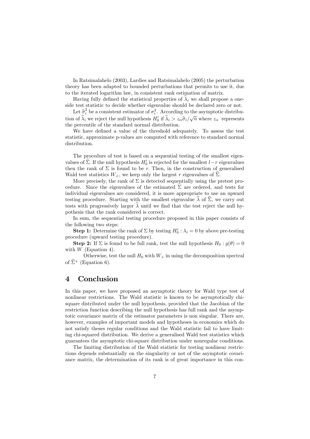In Ratsimalahelo (2003), Lardies and Ratsimalahelo (2005) the perturbation theory has been adapted to bounded perturbations that permits to use it, due to the iterated logarithm law, in consistent rank estimation of matrix.

Having fully defined the statistical properties of  $\lambda_i$  we shall propose a oneside test statistic to decide whether eigenvalue should be declared zero or not.

Let  $\hat{\sigma}_i^2$  be a consistent estimator of  $\sigma_i^2$ . According to the asymptotic distribution of  $\hat{\lambda}_i$  we reject the null hypothesis  $H'_0$  if  $\hat{\lambda}_i > z_\alpha \hat{\sigma}_i/\sqrt{n}$  where  $z_\alpha$  represents the percentile of the standard normal distribution.

We have defined a value of the threshold adequately. To assess the test statistic, approximate p-values are computed with reference to standard normal distribution.

The procedure of test is based on a sequential testing of the smallest eigenvalues of  $\Sigma$ . If the null hypothesis  $H_0'$  is rejected for the smallest  $l-r$  eigenvalues then the rank of  $\Sigma$  is found to be r. Then, in the construction of generalised Wald test statistics  $W_+$ , we keep only the largest r eigenvalues of  $\hat{\Sigma}$ .

More precisely, the rank of  $\Sigma$  is detected sequentially using the pretest procedure. Since the eigenvalues of the estimated  $\hat{\Sigma}$  are ordered, and tests for individual eigenvalues are considered, it is more appropriate to use an upward testing procedure. Starting with the smallest eigenvalue  $\hat{\lambda}$  of  $\hat{\Sigma}$ , we carry out tests with progressively larger  $\lambda$  until we find that the test reject the null hypothesis that the rank considered is correct.

In sum, the sequential testing procedure proposed in this paper consists of the following two steps:

**Step 1:** Determine the rank of  $\Sigma$  by testing  $H'_0$ :  $\lambda_i = 0$  by above pre-testing procedure (upward testing procedure).

**Step 2:** If  $\Sigma$  is found to be full rank, test the null hypothesis  $H_0: g(\theta) = 0$ with  $W$  (Equation 4).

Otherwise, test the null  $H_0$  with  $W_+$  in using the decomposition spectral of  $\hat{\Sigma}^+$  (Equation 6).

# 4 Conclusion

In this paper, we have proposed an asymptotic theory for Wald type test of nonlinear restrictions. The Wald statistic is known to be asymptotically chisquare distributed under the null hypothesis, provided that the Jacobian of the restriction function describing the null hypothesis has full rank and the asymptotic covariance matrix of the estimator parameters is non singular. There are, however, examples of important models and hypotheses in economics which do not satisfy theses regular conditions and the Wald statistic fail to have limiting chi-squared distribution. We derive a generalised Wald test statistics which guarantees the asymptotic chi-square distribution under nonregular conditions.

The limiting distribution of the Wald statistic for testing nonlinear restrictions depends substantially on the singularity or not of the asymptotic covariance matrix, the determination of its rank is of great importance in this con